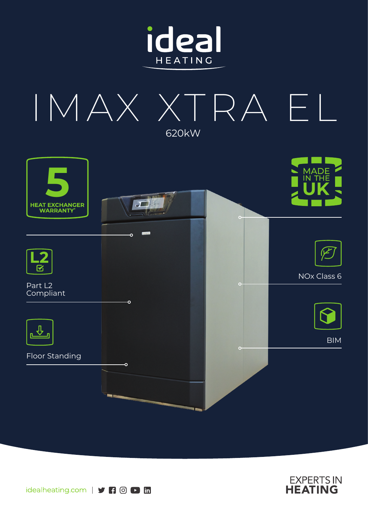







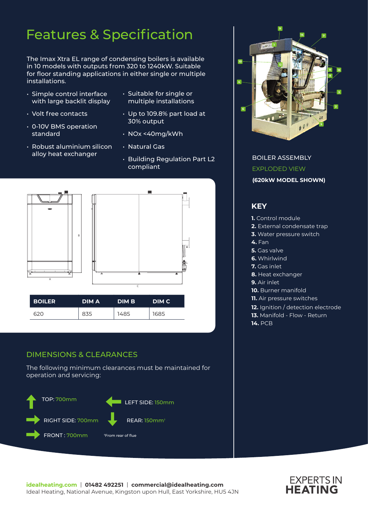# Features & Specification

The Imax Xtra EL range of condensing boilers is available in 10 models with outputs from 320 to 1240kW. Suitable for floor standing applications in either single or multiple installations.

- Simple control interface with large backlit display
- Volt free contacts
- 0-10V BMS operation standard
- Robust aluminium silicon alloy heat exchanger
- Suitable for single or multiple installations
- Up to 109.8% part load at 30% output
- NOx <40mg/kWh
- Natural Gas
- Building Regulation Part L2 compliant



### DIMENSIONS & CLEARANCES

The following minimum clearances must be maintained for operation and servicing:





BOILER ASSEMBLY EXPLODED VIEW **(620kW MODEL SHOWN)**

### **KEY**

- **1.** Control module
- **2.** External condensate trap
- **3.** Water pressure switch
- **4.** Fan
- **5.** Gas valve
- **6.** Whirlwind
- **7.** Gas inlet
- **8.** Heat exchanger
- **9.** Air inlet
- **10.** Burner manifold
- **11.** Air pressure switches
- **12.** Ignition / detection electrode
- **13.** Manifold Flow Return
- **14.** PCB

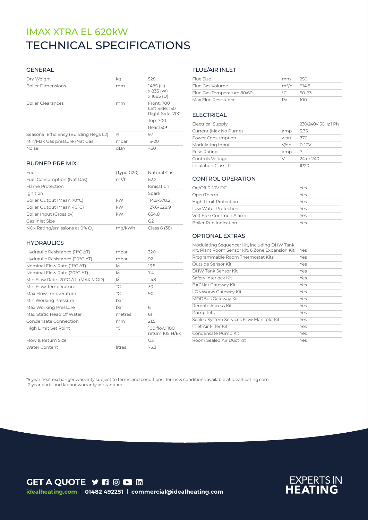# TECHNICAL SPECIFICATIONS IMAX XTRA EL 620kW

#### GENERAL

| Dry Weight                             | kq   | 528                                             |
|----------------------------------------|------|-------------------------------------------------|
| <b>Boiler Dimensions</b>               | mm   | 1485 (H)<br>x 835 (W)<br>$x$ 1685 (D)           |
| <b>Boiler Clearances</b>               | mm   | Front: 700<br>Left Side: 150<br>Right Side: 700 |
|                                        |      | Top: 700                                        |
|                                        |      | Rear:150 <sup>t</sup>                           |
| Seasonal Efficiency (Building Regs L2) | $\%$ | 97                                              |
| Min/Max Gas pressure (Nat Gas)         | mbar | $15-20$                                         |
| <b>Noise</b>                           | dBA  | 560                                             |

#### BURNER PRE MIX

| Fuel                                      | (Type G20) | Natural Gas  |
|-------------------------------------------|------------|--------------|
| Fuel Consumption (Nat Gas)                | $m^3/h$    | 62.2         |
| Flame Protection                          |            | Ionisation   |
| Ignition                                  |            | Spark        |
| Boiler Output (Mean 70°C)                 | kW         | 114.9-578.2  |
| Boiler Output (Mean 40°C)                 | kW         | 127.6-628.9  |
| Boiler Input (Gross cv)                   | kW         | 654.8        |
| Gas Inlet Size                            |            | G2"          |
| NOx Rating/emissions at 0% O <sub>2</sub> | mg/kWh     | Class 6 (38) |

#### **HYDRAULICS**

| Hydraulic Resistance (11°C ∆T)                      | mbar        | 320                              |
|-----------------------------------------------------|-------------|----------------------------------|
| Hydraulic Resistance (20 $\degree$ C $\triangle$ T) | mbar        | 92                               |
| Nominal Flow Rate ( $11^{\circ}$ C $\Delta$ T)      | 1/s         | 13.5                             |
| Nominal Flow Rate (20 $\degree$ C $\triangle$ T)    | I/s         | 7.4                              |
| Min Flow Rate (20°C AT) (MAX MOD)                   | l/s         | 1.48                             |
| Min Flow Temperature                                | $^{\circ}C$ | 30                               |
| Max Flow Temperature                                | $\circ$ C   | 90                               |
| Min Working Pressure                                | bar         | ı                                |
| Max Working Pressure                                | bar         | 6                                |
| Max Static Head Of Water                            | metres      | 61                               |
| Condensate Connection                               | mm          | 21.5                             |
| High Limit Set Point                                | $\circ$ C   | 100 flow, 100<br>return 105 H/Ex |
| Flow & Return Size                                  |             | G3"                              |
| <b>Water Content</b>                                | litres      | 75.3                             |

#### FLUE/AIR INLET

| Flue Size                  | mm                      | 250   |
|----------------------------|-------------------------|-------|
| Flue Gas Volume            | m <sup>3</sup> /h 914.8 |       |
| Flue Gas Temperature 80/60 | $\circ$ $\cap$          | 50-63 |
| Max Flue Resistance        | Da.                     | 100   |

#### ELECTRICAL

| <b>Electrical Supply</b>   |        | 230/240V 50Hz 1 Ph |
|----------------------------|--------|--------------------|
| Current (Max No Pump)      | amp    | 3.35               |
| Power Consumption          | watt   | 770                |
| Modulating Input           | V/dc   | $0-10V$            |
| <b>Fuse Rating</b>         | amp    | 7                  |
| Controls Voltage           | $\vee$ | 24 or 240          |
| <b>Insulation Class IP</b> |        |                    |

#### CONTROL OPERATION

| On/Off 0-10V DC              | Yes |
|------------------------------|-----|
| OpenTherm                    | Yes |
| <b>High Limit Protection</b> | Yes |
| Low Water Protection         | Yes |
| Volt Free Common Alarm       | Yes |
| <b>Boiler Run Indication</b> | Yes |

#### OPTIONAL EXTRAS

| Modulating Sequencer Kit, including DHW Tank<br>Kit, Plant Room Sensor Kit, 6 Zone Expansion Kit | Yes |
|--------------------------------------------------------------------------------------------------|-----|
| Programmable Room Thermostat Kits                                                                | Yes |
| Outside Sensor Kit                                                                               | Yes |
| DHW Tank Sensor Kit                                                                              | Yes |
| Safety Interlock Kit                                                                             | Yes |
| <b>BACNet Gateway Kit</b>                                                                        | Yes |
| LONWorks Gateway Kit                                                                             | Yes |
| <b>MODBus Gateway Kit</b>                                                                        | Yes |
| Remote Access Kit                                                                                | Yes |
| Pump Kits                                                                                        | Yes |
| Sealed System Services Flow Manifold Kit                                                         | Yes |
| Inlet Air Filter Kit                                                                             | Yes |
| Condensate Pump Kit                                                                              | Yes |
| Room Sealed Air Duct Kit                                                                         | Yes |

\*5 year heat exchanger warranty subject to terms and conditions. Terms & conditions available at idealheating.com 2 year parts and labour warranty as standard.

**GET A QUOTE Y R @ D H idealheating.com** | **01482 492251** | **commercial@idealheating.com**